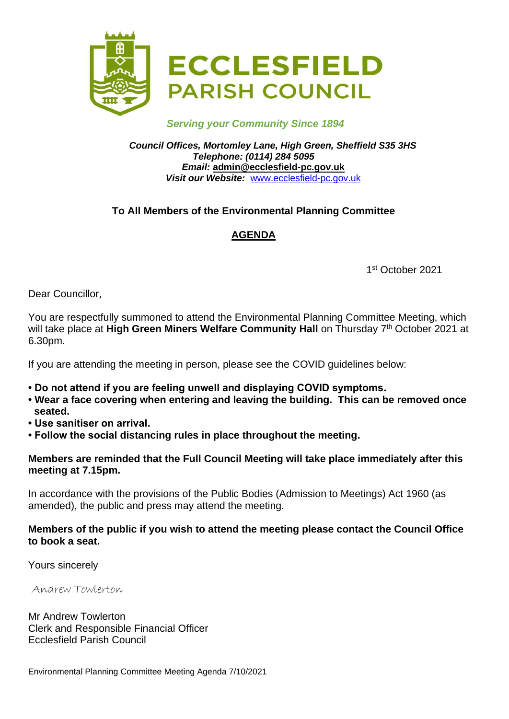

#### *Serving your Community Since 1894*

*Council Offices, Mortomley Lane, High Green, Sheffield S35 3HS Telephone: (0114) 284 5095 Email:* **admin@ecclesfield-pc.gov.uk** *Visit our Website:* [www.ecclesfield-pc.gov.uk](http://www.ecclesfield-pc.gov.uk/)

## **To All Members of the Environmental Planning Committee**

## **AGENDA**

1 st October 2021

Dear Councillor,

You are respectfully summoned to attend the Environmental Planning Committee Meeting, which will take place at Hi**gh Green Miners Welfare Community Hall** on Thursday 7<sup>th</sup> October 2021 at 6.30pm.

If you are attending the meeting in person, please see the COVID guidelines below:

- **Do not attend if you are feeling unwell and displaying COVID symptoms.**
- **Wear a face covering when entering and leaving the building. This can be removed once seated.**
- **Use sanitiser on arrival.**
- **Follow the social distancing rules in place throughout the meeting.**

#### **Members are reminded that the Full Council Meeting will take place immediately after this meeting at 7.15pm.**

In accordance with the provisions of the Public Bodies (Admission to Meetings) Act 1960 (as amended), the public and press may attend the meeting.

#### **Members of the public if you wish to attend the meeting please contact the Council Office to book a seat.**

Yours sincerely

Andrew Towlerton

Mr Andrew Towlerton Clerk and Responsible Financial Officer Ecclesfield Parish Council

Environmental Planning Committee Meeting Agenda 7/10/2021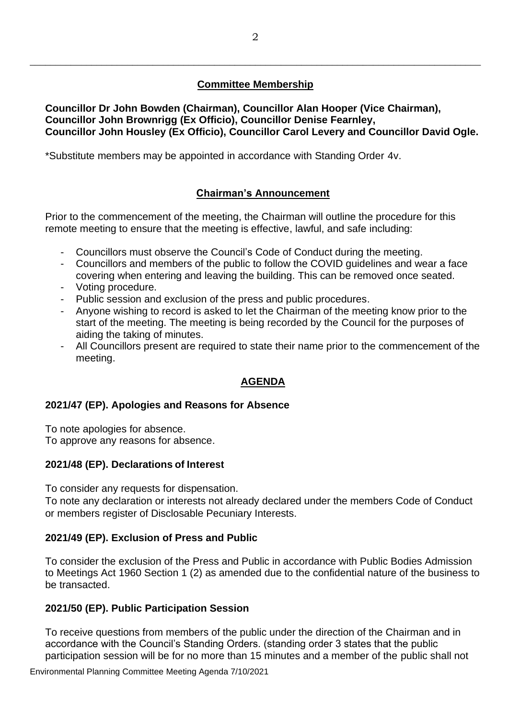# **Committee Membership**

\_\_\_\_\_\_\_\_\_\_\_\_\_\_\_\_\_\_\_\_\_\_\_\_\_\_\_\_\_\_\_\_\_\_\_\_\_\_\_\_\_\_\_\_\_\_\_\_\_\_\_\_\_\_\_\_\_\_\_\_\_\_\_\_\_\_\_\_\_\_\_\_\_\_\_\_\_\_\_\_\_\_\_\_\_\_\_\_

**Councillor Dr John Bowden (Chairman), Councillor Alan Hooper (Vice Chairman), Councillor John Brownrigg (Ex Officio), Councillor Denise Fearnley, Councillor John Housley (Ex Officio), Councillor Carol Levery and Councillor David Ogle.**

\*Substitute members may be appointed in accordance with Standing Order 4v.

# **Chairman's Announcement**

Prior to the commencement of the meeting, the Chairman will outline the procedure for this remote meeting to ensure that the meeting is effective, lawful, and safe including:

- Councillors must observe the Council's Code of Conduct during the meeting.
- Councillors and members of the public to follow the COVID guidelines and wear a face covering when entering and leaving the building. This can be removed once seated.
- Voting procedure.
- Public session and exclusion of the press and public procedures.
- Anyone wishing to record is asked to let the Chairman of the meeting know prior to the start of the meeting. The meeting is being recorded by the Council for the purposes of aiding the taking of minutes.
- All Councillors present are required to state their name prior to the commencement of the meeting.

# **AGENDA**

## **2021/47 (EP). Apologies and Reasons for Absence**

To note apologies for absence.

To approve any reasons for absence.

## **2021/48 (EP). Declarations of Interest**

To consider any requests for dispensation.

To note any declaration or interests not already declared under the members Code of Conduct or members register of Disclosable Pecuniary Interests.

## **2021/49 (EP). Exclusion of Press and Public**

To consider the exclusion of the Press and Public in accordance with Public Bodies Admission to Meetings Act 1960 Section 1 (2) as amended due to the confidential nature of the business to be transacted.

## **2021/50 (EP). Public Participation Session**

To receive questions from members of the public under the direction of the Chairman and in accordance with the Council's Standing Orders. (standing order 3 states that the public participation session will be for no more than 15 minutes and a member of the public shall not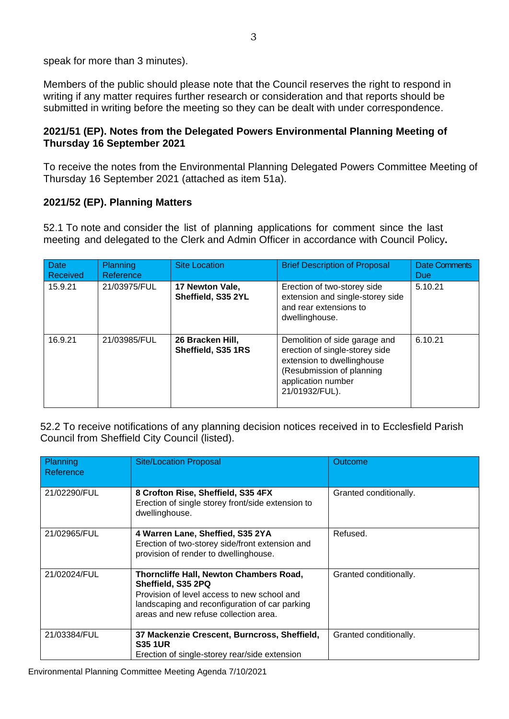speak for more than 3 minutes).

Members of the public should please note that the Council reserves the right to respond in writing if any matter requires further research or consideration and that reports should be submitted in writing before the meeting so they can be dealt with under correspondence.

## **2021/51 (EP). Notes from the Delegated Powers Environmental Planning Meeting of Thursday 16 September 2021**

To receive the notes from the Environmental Planning Delegated Powers Committee Meeting of Thursday 16 September 2021 (attached as item 51a).

## **2021/52 (EP). Planning Matters**

52.1 To note and consider the list of planning applications for comment since the last meeting and delegated to the Clerk and Admin Officer in accordance with Council Policy**.**

| <b>Date</b><br>Received | <b>Planning</b><br>Reference | <b>Site Location</b>                   | <b>Brief Description of Proposal</b>                                                                                                                               | <b>Date Comments</b><br>Due |
|-------------------------|------------------------------|----------------------------------------|--------------------------------------------------------------------------------------------------------------------------------------------------------------------|-----------------------------|
| 15.9.21                 | 21/03975/FUL                 | 17 Newton Vale,<br>Sheffield, S35 2YL  | Erection of two-storey side<br>extension and single-storey side<br>and rear extensions to<br>dwellinghouse.                                                        | 5.10.21                     |
| 16.9.21                 | 21/03985/FUL                 | 26 Bracken Hill,<br>Sheffield, S35 1RS | Demolition of side garage and<br>erection of single-storey side<br>extension to dwellinghouse<br>(Resubmission of planning<br>application number<br>21/01932/FUL). | 6.10.21                     |

52.2 To receive notifications of any planning decision notices received in to Ecclesfield Parish Council from Sheffield City Council (listed).

| Planning<br>Reference | <b>Site/Location Proposal</b>                                                                                                                                                                           | Outcome                |
|-----------------------|---------------------------------------------------------------------------------------------------------------------------------------------------------------------------------------------------------|------------------------|
| 21/02290/FUL          | 8 Crofton Rise, Sheffield, S35 4FX<br>Erection of single storey front/side extension to<br>dwellinghouse.                                                                                               | Granted conditionally. |
| 21/02965/FUL          | 4 Warren Lane, Sheffied, S35 2YA<br>Erection of two-storey side/front extension and<br>provision of render to dwellinghouse.                                                                            | Refused.               |
| 21/02024/FUL          | Thorncliffe Hall, Newton Chambers Road,<br>Sheffield, S35 2PQ<br>Provision of level access to new school and<br>landscaping and reconfiguration of car parking<br>areas and new refuse collection area. | Granted conditionally. |
| 21/03384/FUL          | 37 Mackenzie Crescent, Burncross, Sheffield,<br><b>S35 1UR</b><br>Erection of single-storey rear/side extension                                                                                         | Granted conditionally. |

Environmental Planning Committee Meeting Agenda 7/10/2021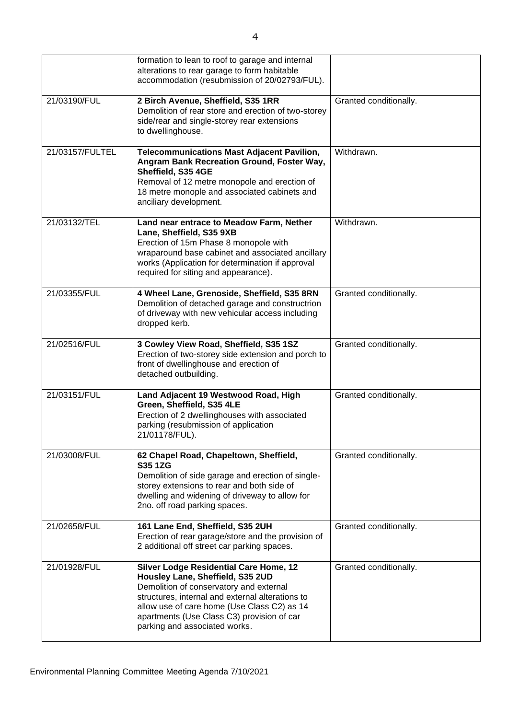|                 | formation to lean to roof to garage and internal<br>alterations to rear garage to form habitable<br>accommodation (resubmission of 20/02793/FUL).                                                                                                                                                              |                        |
|-----------------|----------------------------------------------------------------------------------------------------------------------------------------------------------------------------------------------------------------------------------------------------------------------------------------------------------------|------------------------|
| 21/03190/FUL    | 2 Birch Avenue, Sheffield, S35 1RR<br>Demolition of rear store and erection of two-storey<br>side/rear and single-storey rear extensions<br>to dwellinghouse.                                                                                                                                                  | Granted conditionally. |
| 21/03157/FULTEL | <b>Telecommunications Mast Adjacent Pavilion,</b><br>Angram Bank Recreation Ground, Foster Way,<br>Sheffield, S35 4GE<br>Removal of 12 metre monopole and erection of<br>18 metre monople and associated cabinets and<br>anciliary development.                                                                | Withdrawn.             |
| 21/03132/TEL    | Land near entrace to Meadow Farm, Nether<br>Lane, Sheffield, S35 9XB<br>Erection of 15m Phase 8 monopole with<br>wraparound base cabinet and associated ancillary<br>works (Application for determination if approval<br>required for siting and appearance).                                                  | Withdrawn.             |
| 21/03355/FUL    | 4 Wheel Lane, Grenoside, Sheffield, S35 8RN<br>Demolition of detached garage and constructrion<br>of driveway with new vehicular access including<br>dropped kerb.                                                                                                                                             | Granted conditionally. |
| 21/02516/FUL    | 3 Cowley View Road, Sheffield, S35 1SZ<br>Erection of two-storey side extension and porch to<br>front of dwellinghouse and erection of<br>detached outbuilding.                                                                                                                                                | Granted conditionally. |
| 21/03151/FUL    | Land Adjacent 19 Westwood Road, High<br>Green, Sheffield, S35 4LE<br>Erection of 2 dwellinghouses with associated<br>parking (resubmission of application<br>21/01178/FUL).                                                                                                                                    | Granted conditionally. |
| 21/03008/FUL    | 62 Chapel Road, Chapeltown, Sheffield,<br><b>S35 1ZG</b><br>Demolition of side garage and erection of single-<br>storey extensions to rear and both side of<br>dwelling and widening of driveway to allow for<br>2no. off road parking spaces.                                                                 | Granted conditionally. |
| 21/02658/FUL    | 161 Lane End, Sheffield, S35 2UH<br>Erection of rear garage/store and the provision of<br>2 additional off street car parking spaces.                                                                                                                                                                          | Granted conditionally. |
| 21/01928/FUL    | <b>Silver Lodge Residential Care Home, 12</b><br>Housley Lane, Sheffield, S35 2UD<br>Demolition of conservatory and external<br>structures, internal and external alterations to<br>allow use of care home (Use Class C2) as 14<br>apartments (Use Class C3) provision of car<br>parking and associated works. | Granted conditionally. |